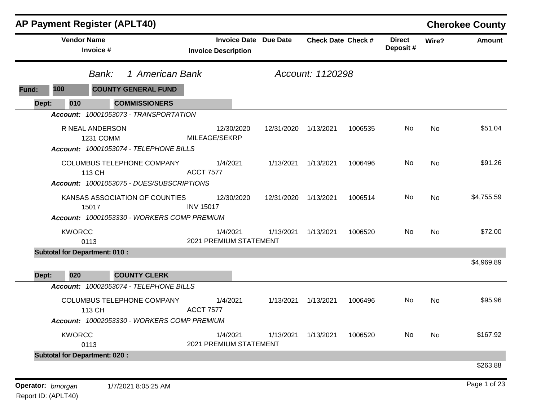|       |               | <b>AP Payment Register (APLT40)</b>                                                    |                  |                                                            |            |                           |         |                           |       | <b>Cherokee County</b> |
|-------|---------------|----------------------------------------------------------------------------------------|------------------|------------------------------------------------------------|------------|---------------------------|---------|---------------------------|-------|------------------------|
|       |               | <b>Vendor Name</b><br>Invoice #                                                        |                  | <b>Invoice Date Due Date</b><br><b>Invoice Description</b> |            | <b>Check Date Check #</b> |         | <b>Direct</b><br>Deposit# | Wire? | <b>Amount</b>          |
|       |               | 1 American Bank<br>Bank:                                                               |                  |                                                            |            | Account: 1120298          |         |                           |       |                        |
| Fund: | 100           | <b>COUNTY GENERAL FUND</b>                                                             |                  |                                                            |            |                           |         |                           |       |                        |
| Dept: | 010           | <b>COMMISSIONERS</b>                                                                   |                  |                                                            |            |                           |         |                           |       |                        |
|       |               | Account: 10001053073 - TRANSPORTATION                                                  |                  |                                                            |            |                           |         |                           |       |                        |
|       |               | R NEAL ANDERSON<br><b>1231 COMM</b><br>Account: 10001053074 - TELEPHONE BILLS          |                  | 12/30/2020<br>MILEAGE/SEKRP                                | 12/31/2020 | 1/13/2021                 | 1006535 | No                        | No    | \$51.04                |
|       |               | COLUMBUS TELEPHONE COMPANY<br>113 CH<br>Account: 10001053075 - DUES/SUBSCRIPTIONS      | <b>ACCT 7577</b> | 1/4/2021                                                   | 1/13/2021  | 1/13/2021                 | 1006496 | No                        | No    | \$91.26                |
|       |               | KANSAS ASSOCIATION OF COUNTIES<br>15017<br>Account: 10001053330 - WORKERS COMP PREMIUM | <b>INV 15017</b> | 12/30/2020                                                 | 12/31/2020 | 1/13/2021                 | 1006514 | No                        | No    | \$4,755.59             |
|       | <b>KWORCC</b> | 0113                                                                                   |                  | 1/4/2021<br>2021 PREMIUM STATEMENT                         | 1/13/2021  | 1/13/2021                 | 1006520 | No.                       | No    | \$72.00                |
|       |               | <b>Subtotal for Department: 010:</b>                                                   |                  |                                                            |            |                           |         |                           |       |                        |
| Dept: | 020           | <b>COUNTY CLERK</b>                                                                    |                  |                                                            |            |                           |         |                           |       | \$4,969.89             |
|       |               | Account: 10002053074 - TELEPHONE BILLS                                                 |                  |                                                            |            |                           |         |                           |       |                        |
|       |               | COLUMBUS TELEPHONE COMPANY<br>113 CH<br>Account: 10002053330 - WORKERS COMP PREMIUM    | <b>ACCT 7577</b> | 1/4/2021                                                   | 1/13/2021  | 1/13/2021                 | 1006496 | No                        | No    | \$95.96                |
|       | <b>KWORCC</b> | 0113                                                                                   |                  | 1/4/2021<br>2021 PREMIUM STATEMENT                         | 1/13/2021  | 1/13/2021                 | 1006520 | No                        | No    | \$167.92               |
|       |               | <b>Subtotal for Department: 020:</b>                                                   |                  |                                                            |            |                           |         |                           |       |                        |
|       |               |                                                                                        |                  |                                                            |            |                           |         |                           |       | \$263.88               |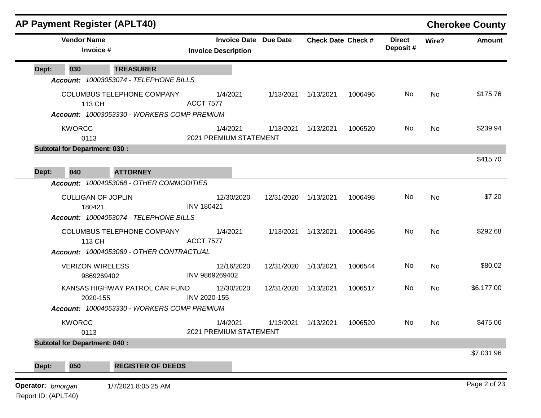|       |                                       | <b>AP Payment Register (APLT40)</b>                                                                              |                                    |                              |                           |         |                           |           | <b>Cherokee County</b> |
|-------|---------------------------------------|------------------------------------------------------------------------------------------------------------------|------------------------------------|------------------------------|---------------------------|---------|---------------------------|-----------|------------------------|
|       | <b>Vendor Name</b><br>Invoice #       |                                                                                                                  | <b>Invoice Description</b>         | <b>Invoice Date Due Date</b> | <b>Check Date Check #</b> |         | <b>Direct</b><br>Deposit# | Wire?     | <b>Amount</b>          |
| Dept: | 030                                   | <b>TREASURER</b>                                                                                                 |                                    |                              |                           |         |                           |           |                        |
|       |                                       | Account: 10003053074 - TELEPHONE BILLS                                                                           |                                    |                              |                           |         |                           |           |                        |
|       | 113 CH                                | COLUMBUS TELEPHONE COMPANY<br>Account: 10003053330 - WORKERS COMP PREMIUM                                        | 1/4/2021<br><b>ACCT 7577</b>       | 1/13/2021                    | 1/13/2021                 | 1006496 | No.                       | No        | \$175.76               |
|       | <b>KWORCC</b><br>0113                 |                                                                                                                  | 1/4/2021<br>2021 PREMIUM STATEMENT | 1/13/2021                    | 1/13/2021                 | 1006520 | No                        | <b>No</b> | \$239.94               |
|       | <b>Subtotal for Department: 030:</b>  |                                                                                                                  |                                    |                              |                           |         |                           |           |                        |
|       |                                       |                                                                                                                  |                                    |                              |                           |         |                           |           | \$415.70               |
| Dept: | 040                                   | <b>ATTORNEY</b><br>Account: 10004053068 - OTHER COMMODITIES                                                      |                                    |                              |                           |         |                           |           |                        |
|       | <b>CULLIGAN OF JOPLIN</b><br>180421   |                                                                                                                  | 12/30/2020<br><b>INV 180421</b>    | 12/31/2020                   | 1/13/2021                 | 1006498 | No                        | <b>No</b> | \$7.20                 |
|       | 113 CH                                | Account: 10004053074 - TELEPHONE BILLS<br>COLUMBUS TELEPHONE COMPANY<br>Account: 10004053089 - OTHER CONTRACTUAL | 1/4/2021<br><b>ACCT 7577</b>       |                              | 1/13/2021 1/13/2021       | 1006496 | No                        | <b>No</b> | \$292.68               |
|       | <b>VERIZON WIRELESS</b><br>9869269402 |                                                                                                                  | 12/16/2020<br>INV 9869269402       | 12/31/2020                   | 1/13/2021                 | 1006544 | No                        | No        | \$80.02                |
|       | 2020-155                              | KANSAS HIGHWAY PATROL CAR FUND<br>Account: 10004053330 - WORKERS COMP PREMIUM                                    | 12/30/2020<br>INV 2020-155         | 12/31/2020 1/13/2021         |                           | 1006517 | No                        | <b>No</b> | \$6,177.00             |
|       | <b>KWORCC</b><br>0113                 |                                                                                                                  | 1/4/2021<br>2021 PREMIUM STATEMENT |                              | 1/13/2021 1/13/2021       | 1006520 | No                        | No.       | \$475.06               |
|       | <b>Subtotal for Department: 040:</b>  |                                                                                                                  |                                    |                              |                           |         |                           |           |                        |
| Dept: | 050                                   | <b>REGISTER OF DEEDS</b>                                                                                         |                                    |                              |                           |         |                           |           | \$7,031.96             |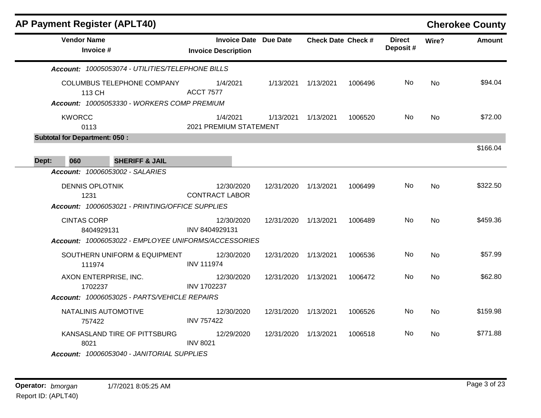| <b>AP Payment Register (APLT40)</b>  |                                                                                  |                                                                                      |            |                           |         |                           |           | <b>Cherokee County</b> |
|--------------------------------------|----------------------------------------------------------------------------------|--------------------------------------------------------------------------------------|------------|---------------------------|---------|---------------------------|-----------|------------------------|
| <b>Vendor Name</b><br>Invoice #      |                                                                                  | <b>Invoice Date Due Date</b><br><b>Invoice Description</b>                           |            | <b>Check Date Check #</b> |         | <b>Direct</b><br>Deposit# | Wire?     | <b>Amount</b>          |
|                                      | Account: 10005053074 - UTILITIES/TELEPHONE BILLS                                 |                                                                                      |            |                           |         |                           |           |                        |
| 113 CH                               | <b>COLUMBUS TELEPHONE COMPANY</b><br>Account: 10005053330 - WORKERS COMP PREMIUM | 1/4/2021<br><b>ACCT 7577</b>                                                         | 1/13/2021  | 1/13/2021                 | 1006496 | No.                       | <b>No</b> | \$94.04                |
| <b>KWORCC</b><br>0113                |                                                                                  | 1/4/2021<br>2021 PREMIUM STATEMENT                                                   | 1/13/2021  | 1/13/2021                 | 1006520 | No.                       | No        | \$72.00                |
| <b>Subtotal for Department: 050:</b> |                                                                                  |                                                                                      |            |                           |         |                           |           |                        |
| 060<br>Dept:                         | <b>SHERIFF &amp; JAIL</b>                                                        |                                                                                      |            |                           |         |                           |           | \$166.04               |
| Account: 10006053002 - SALARIES      |                                                                                  |                                                                                      |            |                           |         |                           |           |                        |
| <b>DENNIS OPLOTNIK</b><br>1231       | Account: 10006053021 - PRINTING/OFFICE SUPPLIES                                  | 12/30/2020<br><b>CONTRACT LABOR</b>                                                  | 12/31/2020 | 1/13/2021                 | 1006499 | No.                       | <b>No</b> | \$322.50               |
| <b>CINTAS CORP</b><br>8404929131     |                                                                                  | 12/30/2020<br>INV 8404929131<br>Account: 10006053022 - EMPLOYEE UNIFORMS/ACCESSORIES | 12/31/2020 | 1/13/2021                 | 1006489 | No                        | <b>No</b> | \$459.36               |
| 111974                               | SOUTHERN UNIFORM & EQUIPMENT                                                     | 12/30/2020<br><b>INV 111974</b>                                                      | 12/31/2020 | 1/13/2021                 | 1006536 | No.                       | <b>No</b> | \$57.99                |
| AXON ENTERPRISE, INC.<br>1702237     |                                                                                  | 12/30/2020<br>INV 1702237                                                            | 12/31/2020 | 1/13/2021                 | 1006472 | No                        | No        | \$62.80                |
|                                      | Account: 10006053025 - PARTS/VEHICLE REPAIRS                                     |                                                                                      |            |                           |         |                           |           |                        |
| NATALINIS AUTOMOTIVE<br>757422       |                                                                                  | 12/30/2020<br><b>INV 757422</b>                                                      | 12/31/2020 | 1/13/2021                 | 1006526 | No.                       | <b>No</b> | \$159.98               |
| 8021                                 | KANSASLAND TIRE OF PITTSBURG                                                     | 12/29/2020<br><b>INV 8021</b>                                                        | 12/31/2020 | 1/13/2021                 | 1006518 | No.                       | <b>No</b> | \$771.88               |
|                                      | Account: 10006053040 - JANITORIAL SUPPLIES                                       |                                                                                      |            |                           |         |                           |           |                        |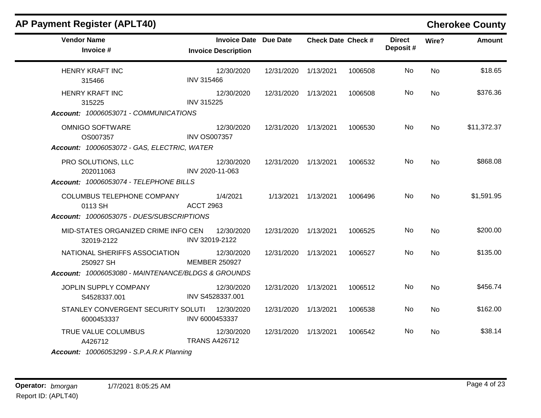| <b>AP Payment Register (APLT40)</b>                                                              |                                                            |                      |                           |         |                           |           | <b>Cherokee County</b> |
|--------------------------------------------------------------------------------------------------|------------------------------------------------------------|----------------------|---------------------------|---------|---------------------------|-----------|------------------------|
| <b>Vendor Name</b><br>Invoice #                                                                  | <b>Invoice Date Due Date</b><br><b>Invoice Description</b> |                      | <b>Check Date Check #</b> |         | <b>Direct</b><br>Deposit# | Wire?     | <b>Amount</b>          |
| <b>HENRY KRAFT INC</b><br>315466                                                                 | 12/30/2020<br><b>INV 315466</b>                            | 12/31/2020           | 1/13/2021                 | 1006508 | No                        | <b>No</b> | \$18.65                |
| <b>HENRY KRAFT INC</b><br>315225<br>Account: 10006053071 - COMMUNICATIONS                        | 12/30/2020<br><b>INV 315225</b>                            | 12/31/2020           | 1/13/2021                 | 1006508 | No                        | <b>No</b> | \$376.36               |
| <b>OMNIGO SOFTWARE</b><br>OS007357<br>Account: 10006053072 - GAS, ELECTRIC, WATER                | 12/30/2020<br><b>INV OS007357</b>                          | 12/31/2020 1/13/2021 |                           | 1006530 | No.                       | <b>No</b> | \$11,372.37            |
| PRO SOLUTIONS, LLC<br>202011063<br>Account: 10006053074 - TELEPHONE BILLS                        | 12/30/2020<br>INV 2020-11-063                              | 12/31/2020 1/13/2021 |                           | 1006532 | No.                       | No        | \$868.08               |
| COLUMBUS TELEPHONE COMPANY<br>0113 SH<br>Account: 10006053075 - DUES/SUBSCRIPTIONS               | 1/4/2021<br><b>ACCT 2963</b>                               |                      | 1/13/2021 1/13/2021       | 1006496 | No.                       | <b>No</b> | \$1,591.95             |
| MID-STATES ORGANIZED CRIME INFO CEN<br>32019-2122                                                | 12/30/2020<br>INV 32019-2122                               | 12/31/2020           | 1/13/2021                 | 1006525 | No.                       | <b>No</b> | \$200.00               |
| NATIONAL SHERIFFS ASSOCIATION<br>250927 SH<br>Account: 10006053080 - MAINTENANCE/BLDGS & GROUNDS | 12/30/2020<br><b>MEMBER 250927</b>                         | 12/31/2020 1/13/2021 |                           | 1006527 | No                        | No        | \$135.00               |
| JOPLIN SUPPLY COMPANY<br>S4528337.001                                                            | 12/30/2020<br>INV S4528337.001                             | 12/31/2020           | 1/13/2021                 | 1006512 | No.                       | No        | \$456.74               |
| STANLEY CONVERGENT SECURITY SOLUTI<br>6000453337                                                 | 12/30/2020<br>INV 6000453337                               | 12/31/2020           | 1/13/2021                 | 1006538 | No.                       | No        | \$162.00               |
| TRUE VALUE COLUMBUS<br>A426712<br><b>Account: 10006053299 - S.P.A.R.K Planning</b>               | 12/30/2020<br><b>TRANS A426712</b>                         | 12/31/2020 1/13/2021 |                           | 1006542 | No.                       | No.       | \$38.14                |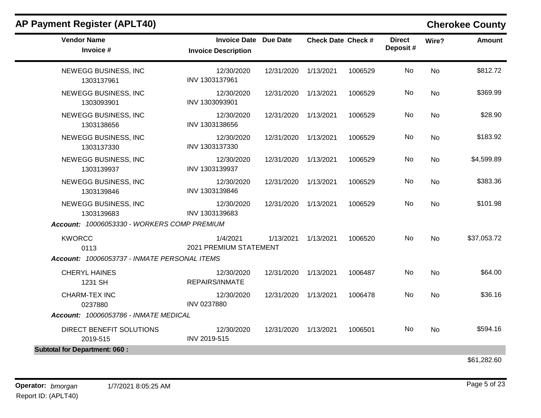| <b>AP Payment Register (APLT40)</b>                                               |                                                            |                      |                           |         |                           |           | <b>Cherokee County</b> |
|-----------------------------------------------------------------------------------|------------------------------------------------------------|----------------------|---------------------------|---------|---------------------------|-----------|------------------------|
| <b>Vendor Name</b><br>Invoice #                                                   | <b>Invoice Date Due Date</b><br><b>Invoice Description</b> |                      | <b>Check Date Check #</b> |         | <b>Direct</b><br>Deposit# | Wire?     | <b>Amount</b>          |
| NEWEGG BUSINESS, INC<br>1303137961                                                | 12/30/2020<br>INV 1303137961                               | 12/31/2020 1/13/2021 |                           | 1006529 | No                        | <b>No</b> | \$812.72               |
| NEWEGG BUSINESS, INC<br>1303093901                                                | 12/30/2020<br>INV 1303093901                               | 12/31/2020           | 1/13/2021                 | 1006529 | No.                       | <b>No</b> | \$369.99               |
| NEWEGG BUSINESS, INC<br>1303138656                                                | 12/30/2020<br>INV 1303138656                               | 12/31/2020           | 1/13/2021                 | 1006529 | No.                       | <b>No</b> | \$28.90                |
| NEWEGG BUSINESS, INC<br>1303137330                                                | 12/30/2020<br>INV 1303137330                               | 12/31/2020           | 1/13/2021                 | 1006529 | No.                       | No        | \$183.92               |
| NEWEGG BUSINESS, INC<br>1303139937                                                | 12/30/2020<br>INV 1303139937                               | 12/31/2020           | 1/13/2021                 | 1006529 | No                        | <b>No</b> | \$4,599.89             |
| NEWEGG BUSINESS, INC<br>1303139846                                                | 12/30/2020<br>INV 1303139846                               | 12/31/2020 1/13/2021 |                           | 1006529 | No.                       | <b>No</b> | \$383.36               |
| NEWEGG BUSINESS, INC<br>1303139683<br>Account: 10006053330 - WORKERS COMP PREMIUM | 12/30/2020<br>INV 1303139683                               | 12/31/2020           | 1/13/2021                 | 1006529 | No                        | No        | \$101.98               |
| <b>KWORCC</b><br>0113<br>Account: 10006053737 - INMATE PERSONAL ITEMS             | 1/4/2021<br>2021 PREMIUM STATEMENT                         | 1/13/2021            | 1/13/2021                 | 1006520 | No.                       | No        | \$37,053.72            |
| <b>CHERYL HAINES</b><br>1231 SH                                                   | 12/30/2020<br>REPAIRS/INMATE                               | 12/31/2020           | 1/13/2021                 | 1006487 | No.                       | <b>No</b> | \$64.00                |
| <b>CHARM-TEX INC</b><br>0237880                                                   | 12/30/2020<br>INV 0237880                                  | 12/31/2020           | 1/13/2021                 | 1006478 | No                        | No        | \$36.16                |
| Account: 10006053786 - INMATE MEDICAL                                             |                                                            |                      |                           |         |                           |           |                        |
| DIRECT BENEFIT SOLUTIONS<br>2019-515                                              | 12/30/2020<br>INV 2019-515                                 | 12/31/2020 1/13/2021 |                           | 1006501 | No.                       | No        | \$594.16               |
| <b>Subtotal for Department: 060:</b>                                              |                                                            |                      |                           |         |                           |           |                        |
|                                                                                   |                                                            |                      |                           |         |                           |           | \$61,282.60            |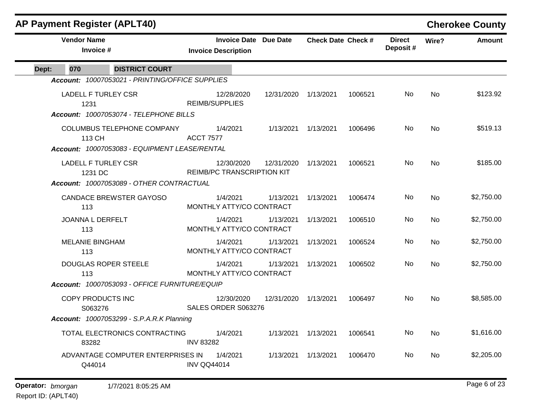| <b>AP Payment Register (APLT40)</b> |                                                                                                                                                                                                              |                                                                                                                                                                                                                                                                        |                                                                                                                                                                                                   |         |                           |           | <b>Cherokee County</b> |
|-------------------------------------|--------------------------------------------------------------------------------------------------------------------------------------------------------------------------------------------------------------|------------------------------------------------------------------------------------------------------------------------------------------------------------------------------------------------------------------------------------------------------------------------|---------------------------------------------------------------------------------------------------------------------------------------------------------------------------------------------------|---------|---------------------------|-----------|------------------------|
|                                     |                                                                                                                                                                                                              |                                                                                                                                                                                                                                                                        |                                                                                                                                                                                                   |         | <b>Direct</b><br>Deposit# | Wire?     | <b>Amount</b>          |
|                                     |                                                                                                                                                                                                              |                                                                                                                                                                                                                                                                        |                                                                                                                                                                                                   |         |                           |           |                        |
|                                     |                                                                                                                                                                                                              |                                                                                                                                                                                                                                                                        |                                                                                                                                                                                                   |         |                           |           |                        |
|                                     | 12/28/2020                                                                                                                                                                                                   | 12/31/2020                                                                                                                                                                                                                                                             | 1/13/2021                                                                                                                                                                                         | 1006521 | No.                       | No        | \$123.92               |
|                                     | 1/4/2021                                                                                                                                                                                                     | 1/13/2021                                                                                                                                                                                                                                                              | 1/13/2021                                                                                                                                                                                         | 1006496 | No.                       | <b>No</b> | \$519.13               |
|                                     | 12/30/2020                                                                                                                                                                                                   | 12/31/2020                                                                                                                                                                                                                                                             | 1/13/2021                                                                                                                                                                                         | 1006521 | No.                       | <b>No</b> | \$185.00               |
|                                     | 1/4/2021                                                                                                                                                                                                     | 1/13/2021                                                                                                                                                                                                                                                              | 1/13/2021                                                                                                                                                                                         | 1006474 | No.                       | No.       | \$2,750.00             |
|                                     | 1/4/2021                                                                                                                                                                                                     | 1/13/2021                                                                                                                                                                                                                                                              | 1/13/2021                                                                                                                                                                                         | 1006510 | No                        | No        | \$2,750.00             |
|                                     | 1/4/2021                                                                                                                                                                                                     | 1/13/2021                                                                                                                                                                                                                                                              | 1/13/2021                                                                                                                                                                                         | 1006524 | No.                       | <b>No</b> | \$2,750.00             |
|                                     | 1/4/2021                                                                                                                                                                                                     | 1/13/2021                                                                                                                                                                                                                                                              | 1/13/2021                                                                                                                                                                                         | 1006502 | No                        | <b>No</b> | \$2,750.00             |
|                                     |                                                                                                                                                                                                              |                                                                                                                                                                                                                                                                        |                                                                                                                                                                                                   |         |                           |           |                        |
|                                     | 12/30/2020                                                                                                                                                                                                   | 12/31/2020                                                                                                                                                                                                                                                             | 1/13/2021                                                                                                                                                                                         | 1006497 | No                        | <b>No</b> | \$8,585.00             |
|                                     |                                                                                                                                                                                                              |                                                                                                                                                                                                                                                                        |                                                                                                                                                                                                   |         |                           |           |                        |
|                                     | 1/4/2021                                                                                                                                                                                                     | 1/13/2021                                                                                                                                                                                                                                                              | 1/13/2021                                                                                                                                                                                         | 1006541 | No                        | <b>No</b> | \$1,616.00             |
|                                     | 1/4/2021                                                                                                                                                                                                     | 1/13/2021                                                                                                                                                                                                                                                              | 1/13/2021                                                                                                                                                                                         | 1006470 | No.                       | No        | \$2,205.00             |
| COLUMBUS TELEPHONE COMPANY          | Account: 10007053074 - TELEPHONE BILLS<br>Account: 10007053089 - OTHER CONTRACTUAL<br><b>Account: 10007053299 - S.P.A.R.K Planning</b><br>TOTAL ELECTRONICS CONTRACTING<br>ADVANTAGE COMPUTER ENTERPRISES IN | <b>Invoice Description</b><br>Account: 10007053021 - PRINTING/OFFICE SUPPLIES<br><b>REIMB/SUPPLIES</b><br><b>ACCT 7577</b><br>Account: 10007053083 - EQUIPMENT LEASE/RENTAL<br>Account: 10007053093 - OFFICE FURNITURE/EQUIP<br><b>INV 83282</b><br><b>INV QQ44014</b> | Invoice Date Due Date<br><b>REIMB/PC TRANSCRIPTION KIT</b><br>MONTHLY ATTY/CO CONTRACT<br>MONTHLY ATTY/CO CONTRACT<br>MONTHLY ATTY/CO CONTRACT<br>MONTHLY ATTY/CO CONTRACT<br>SALES ORDER S063276 |         | <b>Check Date Check #</b> |           |                        |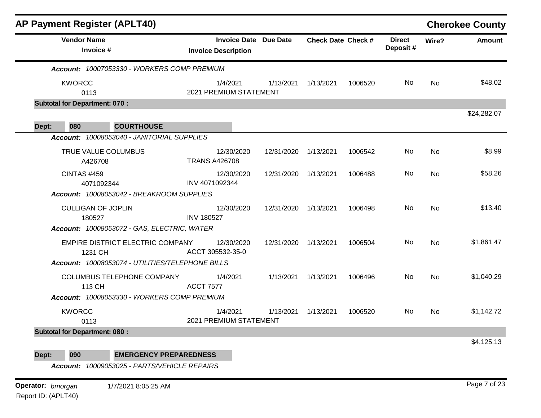|                                      | <b>AP Payment Register (APLT40)</b>                     |                                                            |                      |                           |         |                           |           | <b>Cherokee County</b> |
|--------------------------------------|---------------------------------------------------------|------------------------------------------------------------|----------------------|---------------------------|---------|---------------------------|-----------|------------------------|
| <b>Vendor Name</b>                   | Invoice #                                               | <b>Invoice Date Due Date</b><br><b>Invoice Description</b> |                      | <b>Check Date Check #</b> |         | <b>Direct</b><br>Deposit# | Wire?     | <b>Amount</b>          |
|                                      | Account: 10007053330 - WORKERS COMP PREMIUM             |                                                            |                      |                           |         |                           |           |                        |
| <b>KWORCC</b><br>0113                |                                                         | 1/4/2021<br>2021 PREMIUM STATEMENT                         |                      | 1/13/2021 1/13/2021       | 1006520 | No.                       | <b>No</b> | \$48.02                |
| <b>Subtotal for Department: 070:</b> |                                                         |                                                            |                      |                           |         |                           |           |                        |
| 080<br>Dept:                         | <b>COURTHOUSE</b>                                       |                                                            |                      |                           |         |                           |           | \$24,282.07            |
|                                      | Account: 10008053040 - JANITORIAL SUPPLIES              |                                                            |                      |                           |         |                           |           |                        |
|                                      | TRUE VALUE COLUMBUS<br>A426708                          | 12/30/2020<br><b>TRANS A426708</b>                         | 12/31/2020 1/13/2021 |                           | 1006542 | No.                       | No        | \$8.99                 |
| <b>CINTAS #459</b>                   | 4071092344<br>Account: 10008053042 - BREAKROOM SUPPLIES | 12/30/2020<br>INV 4071092344                               | 12/31/2020 1/13/2021 |                           | 1006488 | No                        | <b>No</b> | \$58.26                |
|                                      | <b>CULLIGAN OF JOPLIN</b>                               | 12/30/2020                                                 | 12/31/2020 1/13/2021 |                           | 1006498 | No.                       | <b>No</b> | \$13.40                |
| 180527                               | Account: 10008053072 - GAS, ELECTRIC, WATER             | <b>INV 180527</b>                                          |                      |                           |         |                           |           |                        |
|                                      | <b>EMPIRE DISTRICT ELECTRIC COMPANY</b><br>1231 CH      | 12/30/2020<br>ACCT 305532-35-0                             | 12/31/2020 1/13/2021 |                           | 1006504 | No.                       | <b>No</b> | \$1,861.47             |
|                                      | Account: 10008053074 - UTILITIES/TELEPHONE BILLS        |                                                            |                      |                           |         |                           |           |                        |
| 113 CH                               | COLUMBUS TELEPHONE COMPANY                              | 1/4/2021<br><b>ACCT 7577</b>                               |                      | 1/13/2021  1/13/2021      | 1006496 | No                        | <b>No</b> | \$1,040.29             |
|                                      | Account: 10008053330 - WORKERS COMP PREMIUM             |                                                            |                      |                           |         |                           |           |                        |
| <b>KWORCC</b><br>0113                |                                                         | 1/4/2021<br>2021 PREMIUM STATEMENT                         | 1/13/2021            | 1/13/2021                 | 1006520 | No                        | <b>No</b> | \$1,142.72             |
| <b>Subtotal for Department: 080:</b> |                                                         |                                                            |                      |                           |         |                           |           |                        |
| Dept:<br>090                         | <b>EMERGENCY PREPAREDNESS</b>                           |                                                            |                      |                           |         |                           |           | \$4,125.13             |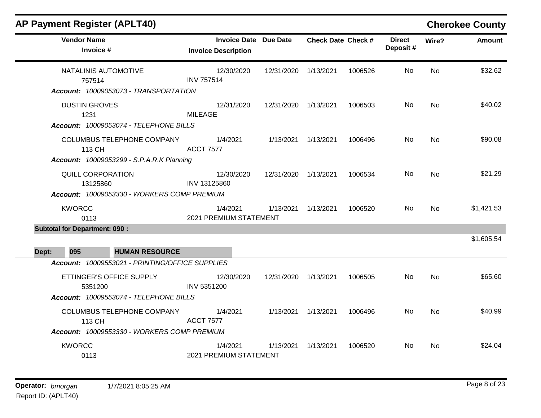| AP Payment Register (APLT40)                                                                                                       |                                                            |            |                           |         |                           |           | <b>Cherokee County</b> |
|------------------------------------------------------------------------------------------------------------------------------------|------------------------------------------------------------|------------|---------------------------|---------|---------------------------|-----------|------------------------|
| <b>Vendor Name</b><br>Invoice #                                                                                                    | <b>Invoice Date Due Date</b><br><b>Invoice Description</b> |            | <b>Check Date Check #</b> |         | <b>Direct</b><br>Deposit# | Wire?     | Amount                 |
| NATALINIS AUTOMOTIVE<br>757514<br>Account: 10009053073 - TRANSPORTATION                                                            | 12/30/2020<br><b>INV 757514</b>                            | 12/31/2020 | 1/13/2021                 | 1006526 | No.                       | <b>No</b> | \$32.62                |
| <b>DUSTIN GROVES</b><br>1231                                                                                                       | 12/31/2020<br><b>MILEAGE</b>                               | 12/31/2020 | 1/13/2021                 | 1006503 | No.                       | No        | \$40.02                |
| Account: 10009053074 - TELEPHONE BILLS<br>COLUMBUS TELEPHONE COMPANY<br>113 CH<br><b>Account: 10009053299 - S.P.A.R.K Planning</b> | 1/4/2021<br><b>ACCT 7577</b>                               |            | 1/13/2021 1/13/2021       | 1006496 | No                        | <b>No</b> | \$90.08                |
| QUILL CORPORATION<br>13125860<br>Account: 10009053330 - WORKERS COMP PREMIUM                                                       | 12/30/2020<br>INV 13125860                                 | 12/31/2020 | 1/13/2021                 | 1006534 | No                        | <b>No</b> | \$21.29                |
| <b>KWORCC</b><br>0113                                                                                                              | 1/4/2021<br>2021 PREMIUM STATEMENT                         | 1/13/2021  | 1/13/2021                 | 1006520 | No.                       | <b>No</b> | \$1,421.53             |
| <b>Subtotal for Department: 090:</b><br>095<br><b>HUMAN RESOURCE</b><br>Dept:                                                      |                                                            |            |                           |         |                           |           | \$1,605.54             |
| Account: 10009553021 - PRINTING/OFFICE SUPPLIES<br>ETTINGER'S OFFICE SUPPLY<br>5351200<br>Account: 10009553074 - TELEPHONE BILLS   | 12/30/2020<br>INV 5351200                                  | 12/31/2020 | 1/13/2021                 | 1006505 | No.                       | <b>No</b> | \$65.60                |
| COLUMBUS TELEPHONE COMPANY<br>113 CH<br>Account: 10009553330 - WORKERS COMP PREMIUM                                                | 1/4/2021<br><b>ACCT 7577</b>                               | 1/13/2021  | 1/13/2021                 | 1006496 | No                        | No        | \$40.99                |
| <b>KWORCC</b><br>0113                                                                                                              | 1/4/2021<br>2021 PREMIUM STATEMENT                         | 1/13/2021  | 1/13/2021                 | 1006520 | No.                       | No        | \$24.04                |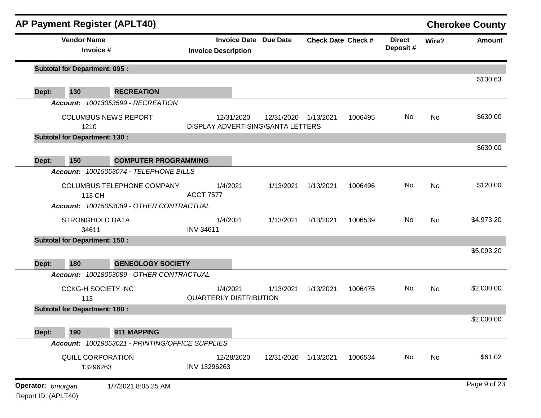| <b>AP Payment Register (APLT40)</b>  |                                                                |                               |            |                                                 |                           |         |                           |           | <b>Cherokee County</b> |
|--------------------------------------|----------------------------------------------------------------|-------------------------------|------------|-------------------------------------------------|---------------------------|---------|---------------------------|-----------|------------------------|
| <b>Vendor Name</b><br>Invoice #      |                                                                | <b>Invoice Description</b>    |            | <b>Invoice Date Due Date</b>                    | <b>Check Date Check #</b> |         | <b>Direct</b><br>Deposit# | Wire?     | <b>Amount</b>          |
| <b>Subtotal for Department: 095:</b> |                                                                |                               |            |                                                 |                           |         |                           |           | \$130.63               |
| 130<br>Dept:                         | <b>RECREATION</b>                                              |                               |            |                                                 |                           |         |                           |           |                        |
|                                      | Account: 10013053599 - RECREATION                              |                               |            |                                                 |                           |         |                           |           |                        |
| 1210                                 | <b>COLUMBUS NEWS REPORT</b>                                    |                               | 12/31/2020 | 12/31/2020<br>DISPLAY ADVERTISING/SANTA LETTERS | 1/13/2021                 | 1006495 | No                        | No        | \$630.00               |
| <b>Subtotal for Department: 130:</b> |                                                                |                               |            |                                                 |                           |         |                           |           |                        |
| 150                                  | <b>COMPUTER PROGRAMMING</b>                                    |                               |            |                                                 |                           |         |                           |           | \$630.00               |
| Dept:                                | Account: 10015053074 - TELEPHONE BILLS                         |                               |            |                                                 |                           |         |                           |           |                        |
| 113 CH                               | COLUMBUS TELEPHONE COMPANY                                     | <b>ACCT 7577</b>              | 1/4/2021   | 1/13/2021                                       | 1/13/2021                 | 1006496 | No                        | <b>No</b> | \$120.00               |
|                                      | Account: 10015053089 - OTHER CONTRACTUAL                       |                               |            |                                                 |                           |         |                           |           |                        |
| <b>STRONGHOLD DATA</b><br>34611      |                                                                | <b>INV 34611</b>              | 1/4/2021   | 1/13/2021                                       | 1/13/2021                 | 1006539 | No                        | <b>No</b> | \$4,973.20             |
| <b>Subtotal for Department: 150:</b> |                                                                |                               |            |                                                 |                           |         |                           |           |                        |
| 180<br>Dept:                         | <b>GENEOLOGY SOCIETY</b>                                       |                               |            |                                                 |                           |         |                           |           | \$5,093.20             |
|                                      | Account: 10018053089 - OTHER CONTRACTUAL                       |                               |            |                                                 |                           |         |                           |           |                        |
| <b>CCKG-H SOCIETY INC</b><br>113     |                                                                | <b>QUARTERLY DISTRIBUTION</b> | 1/4/2021   | 1/13/2021                                       | 1/13/2021                 | 1006475 | No                        | <b>No</b> | \$2,000.00             |
| <b>Subtotal for Department: 180:</b> |                                                                |                               |            |                                                 |                           |         |                           |           |                        |
|                                      |                                                                |                               |            |                                                 |                           |         |                           |           | \$2,000.00             |
| Dept:<br>190                         | 911 MAPPING<br>Account: 10019053021 - PRINTING/OFFICE SUPPLIES |                               |            |                                                 |                           |         |                           |           |                        |
|                                      |                                                                |                               |            |                                                 |                           |         |                           |           |                        |
| QUILL CORPORATION<br>13296263        |                                                                | INV 13296263                  | 12/28/2020 | 12/31/2020                                      | 1/13/2021                 | 1006534 | No                        | No        | \$61.02                |
| Operator: bmorgan                    | 1/7/2021 8:05:25 AM                                            |                               |            |                                                 |                           |         |                           |           | Page 9 of 23           |

Report ID: (APLT40)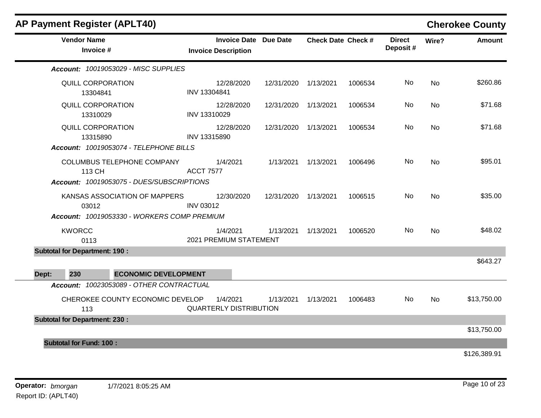| <b>AP Payment Register (APLT40)</b>         |                               |            |                              |                           |         |                           |           | <b>Cherokee County</b> |
|---------------------------------------------|-------------------------------|------------|------------------------------|---------------------------|---------|---------------------------|-----------|------------------------|
| <b>Vendor Name</b><br>Invoice #             | <b>Invoice Description</b>    |            | <b>Invoice Date Due Date</b> | <b>Check Date Check #</b> |         | <b>Direct</b><br>Deposit# | Wire?     | <b>Amount</b>          |
| Account: 10019053029 - MISC SUPPLIES        |                               |            |                              |                           |         |                           |           |                        |
| <b>QUILL CORPORATION</b><br>13304841        | INV 13304841                  | 12/28/2020 | 12/31/2020 1/13/2021         |                           | 1006534 | No.                       | No        | \$260.86               |
| QUILL CORPORATION<br>13310029               | INV 13310029                  | 12/28/2020 | 12/31/2020 1/13/2021         |                           | 1006534 | No                        | <b>No</b> | \$71.68                |
| QUILL CORPORATION<br>13315890               | INV 13315890                  | 12/28/2020 | 12/31/2020 1/13/2021         |                           | 1006534 | No.                       | <b>No</b> | \$71.68                |
| Account: 10019053074 - TELEPHONE BILLS      |                               |            |                              |                           |         |                           |           |                        |
| COLUMBUS TELEPHONE COMPANY<br>113 CH        | <b>ACCT 7577</b>              | 1/4/2021   |                              | 1/13/2021  1/13/2021      | 1006496 | No                        | <b>No</b> | \$95.01                |
| Account: 10019053075 - DUES/SUBSCRIPTIONS   |                               |            |                              |                           |         |                           |           |                        |
| KANSAS ASSOCIATION OF MAPPERS<br>03012      | <b>INV 03012</b>              | 12/30/2020 | 12/31/2020                   | 1/13/2021                 | 1006515 | No.                       | No        | \$35.00                |
| Account: 10019053330 - WORKERS COMP PREMIUM |                               |            |                              |                           |         |                           |           |                        |
| <b>KWORCC</b><br>0113                       | 2021 PREMIUM STATEMENT        | 1/4/2021   |                              | 1/13/2021 1/13/2021       | 1006520 | No.                       | No        | \$48.02                |
| <b>Subtotal for Department: 190:</b>        |                               |            |                              |                           |         |                           |           |                        |
|                                             |                               |            |                              |                           |         |                           |           | \$643.27               |
| 230<br>Dept:<br><b>ECONOMIC DEVELOPMENT</b> |                               |            |                              |                           |         |                           |           |                        |
| Account: 10023053089 - OTHER CONTRACTUAL    |                               |            |                              |                           |         |                           |           |                        |
| CHEROKEE COUNTY ECONOMIC DEVELOP<br>113     | <b>QUARTERLY DISTRIBUTION</b> | 1/4/2021   | 1/13/2021                    | 1/13/2021                 | 1006483 | No                        | <b>No</b> | \$13,750.00            |
| <b>Subtotal for Department: 230:</b>        |                               |            |                              |                           |         |                           |           |                        |
|                                             |                               |            |                              |                           |         |                           |           | \$13,750.00            |
| <b>Subtotal for Fund: 100:</b>              |                               |            |                              |                           |         |                           |           |                        |
|                                             |                               |            |                              |                           |         |                           |           | \$126,389.91           |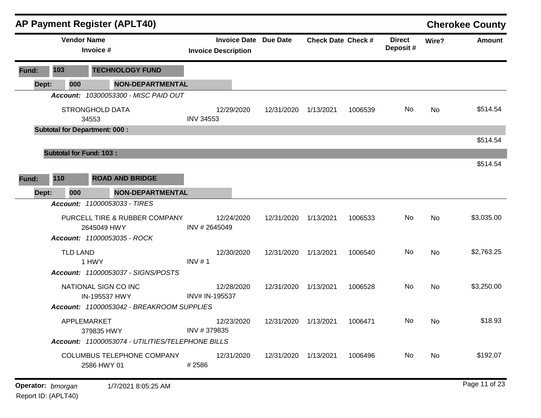|       |                                                  |                                      | <b>AP Payment Register (APLT40)</b>        |                            |                      |                              |                           |         |                           |          | <b>Cherokee County</b> |
|-------|--------------------------------------------------|--------------------------------------|--------------------------------------------|----------------------------|----------------------|------------------------------|---------------------------|---------|---------------------------|----------|------------------------|
|       |                                                  | <b>Vendor Name</b><br>Invoice #      |                                            | <b>Invoice Description</b> |                      | <b>Invoice Date Due Date</b> | <b>Check Date Check #</b> |         | <b>Direct</b><br>Deposit# | Wire?    | <b>Amount</b>          |
| Fund: | 103                                              |                                      | <b>TECHNOLOGY FUND</b>                     |                            |                      |                              |                           |         |                           |          |                        |
| Dept: |                                                  | 000                                  | NON-DEPARTMENTAL                           |                            |                      |                              |                           |         |                           |          |                        |
|       |                                                  |                                      | Account: 10300053300 - MISC PAID OUT       |                            |                      |                              |                           |         |                           |          |                        |
|       |                                                  | <b>STRONGHOLD DATA</b><br>34553      |                                            | <b>INV 34553</b>           | 12/29/2020           | 12/31/2020                   | 1/13/2021                 | 1006539 | No                        | No       | \$514.54               |
|       |                                                  | <b>Subtotal for Department: 000:</b> |                                            |                            |                      |                              |                           |         |                           |          |                        |
|       |                                                  |                                      |                                            |                            |                      |                              |                           |         |                           |          | \$514.54               |
|       |                                                  | <b>Subtotal for Fund: 103:</b>       |                                            |                            |                      |                              |                           |         |                           |          |                        |
|       |                                                  |                                      |                                            |                            |                      |                              |                           |         |                           |          | \$514.54               |
| Fund: | 110                                              |                                      | <b>ROAD AND BRIDGE</b>                     |                            |                      |                              |                           |         |                           |          |                        |
| Dept: |                                                  | 000                                  | <b>NON-DEPARTMENTAL</b>                    |                            |                      |                              |                           |         |                           |          |                        |
|       |                                                  |                                      | Account: 11000053033 - TIRES               |                            |                      |                              |                           |         |                           |          |                        |
|       |                                                  |                                      | PURCELL TIRE & RUBBER COMPANY              |                            | 12/24/2020           | 12/31/2020                   | 1/13/2021                 | 1006533 | No                        | No       | \$3,035.00             |
|       |                                                  |                                      | 2645049 HWY<br>Account: 11000053035 - ROCK | INV #2645049               |                      |                              |                           |         |                           |          |                        |
|       |                                                  | <b>TLD LAND</b>                      |                                            |                            | 12/30/2020           | 12/31/2020                   | 1/13/2021                 | 1006540 | No                        | No       | \$2,763.25             |
|       |                                                  | 1 HWY                                | Account: 11000053037 - SIGNS/POSTS         | INV $# 1$                  |                      |                              |                           |         |                           |          |                        |
|       |                                                  |                                      |                                            |                            |                      |                              |                           |         |                           |          |                        |
|       |                                                  |                                      | NATIONAL SIGN CO INC<br>IN-195537 HWY      | INV# IN-195537             | 12/28/2020           | 12/31/2020                   | 1/13/2021                 | 1006528 | No                        | No       | \$3,250.00             |
|       |                                                  |                                      | Account: 11000053042 - BREAKROOM SUPPLIES  |                            |                      |                              |                           |         |                           |          |                        |
|       |                                                  | APPLEMARKET                          |                                            |                            | 12/23/2020           | 12/31/2020                   | 1/13/2021                 | 1006471 | No.                       | No       | \$18.93                |
|       | 379835 HWY                                       |                                      | INV #379835                                |                            |                      |                              |                           |         |                           |          |                        |
|       | Account: 11000053074 - UTILITIES/TELEPHONE BILLS |                                      |                                            |                            |                      |                              |                           |         |                           |          |                        |
|       | COLUMBUS TELEPHONE COMPANY<br>2586 HWY 01        |                                      | #2586                                      | 12/31/2020                 | 12/31/2020 1/13/2021 |                              | 1006496                   | No.     | No                        | \$192.07 |                        |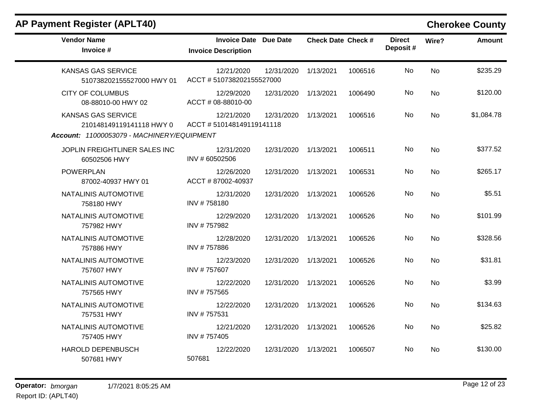| <b>Vendor Name</b><br>Invoice #                        | <b>Invoice Date Due Date</b><br><b>Invoice Description</b> |            | <b>Check Date Check #</b> |         | <b>Direct</b><br>Deposit# | Wire?     | <b>Amount</b> |
|--------------------------------------------------------|------------------------------------------------------------|------------|---------------------------|---------|---------------------------|-----------|---------------|
| <b>KANSAS GAS SERVICE</b><br>510738202155527000 HWY 01 | 12/21/2020<br>ACCT #510738202155527000                     | 12/31/2020 | 1/13/2021                 | 1006516 | No                        | <b>No</b> | \$235.29      |
| <b>CITY OF COLUMBUS</b><br>08-88010-00 HWY 02          | 12/29/2020<br>ACCT # 08-88010-00                           | 12/31/2020 | 1/13/2021                 | 1006490 | No                        | No        | \$120.00      |
| <b>KANSAS GAS SERVICE</b><br>210148149119141118 HWY 0  | 12/21/2020<br>ACCT #510148149119141118                     | 12/31/2020 | 1/13/2021                 | 1006516 | No                        | No        | \$1,084.78    |
| Account: 11000053079 - MACHINERY/EQUIPMENT             |                                                            |            |                           |         |                           |           |               |
| JOPLIN FREIGHTLINER SALES INC<br>60502506 HWY          | 12/31/2020<br>INV # 60502506                               | 12/31/2020 | 1/13/2021                 | 1006511 | No                        | No        | \$377.52      |
| <b>POWERPLAN</b><br>87002-40937 HWY 01                 | 12/26/2020<br>ACCT #87002-40937                            | 12/31/2020 | 1/13/2021                 | 1006531 | No.                       | No        | \$265.17      |
| NATALINIS AUTOMOTIVE<br>758180 HWY                     | 12/31/2020<br>INV #758180                                  | 12/31/2020 | 1/13/2021                 | 1006526 | No                        | No        | \$5.51        |
| NATALINIS AUTOMOTIVE<br>757982 HWY                     | 12/29/2020<br>INV #757982                                  | 12/31/2020 | 1/13/2021                 | 1006526 | No                        | <b>No</b> | \$101.99      |
| NATALINIS AUTOMOTIVE<br>757886 HWY                     | 12/28/2020<br>INV #757886                                  | 12/31/2020 | 1/13/2021                 | 1006526 | No                        | No        | \$328.56      |
| NATALINIS AUTOMOTIVE<br>757607 HWY                     | 12/23/2020<br>INV #757607                                  | 12/31/2020 | 1/13/2021                 | 1006526 | No.                       | No        | \$31.81       |
| NATALINIS AUTOMOTIVE<br>757565 HWY                     | 12/22/2020<br>INV #757565                                  | 12/31/2020 | 1/13/2021                 | 1006526 | No                        | <b>No</b> | \$3.99        |
| NATALINIS AUTOMOTIVE<br>757531 HWY                     | 12/22/2020<br>INV #757531                                  | 12/31/2020 | 1/13/2021                 | 1006526 | No                        | <b>No</b> | \$134.63      |
| NATALINIS AUTOMOTIVE<br>757405 HWY                     | 12/21/2020<br>INV #757405                                  | 12/31/2020 | 1/13/2021                 | 1006526 | No                        | <b>No</b> | \$25.82       |
| HAROLD DEPENBUSCH<br>507681 HWY                        | 12/22/2020<br>507681                                       | 12/31/2020 | 1/13/2021                 | 1006507 | No                        | <b>No</b> | \$130.00      |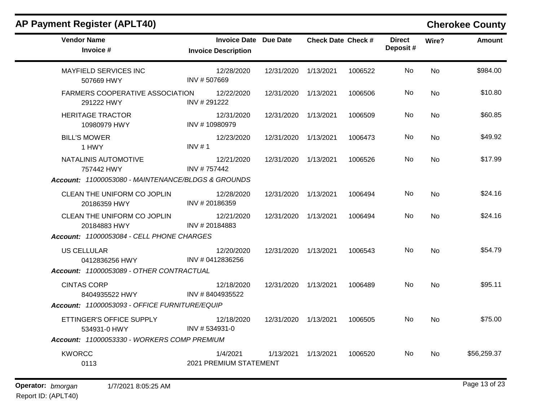| <b>Vendor Name</b><br>Invoice #                                                  | <b>Invoice Date Due Date</b><br><b>Invoice Description</b> |            | <b>Check Date Check #</b> |         | <b>Direct</b><br>Deposit# | Wire?     | <b>Amount</b> |
|----------------------------------------------------------------------------------|------------------------------------------------------------|------------|---------------------------|---------|---------------------------|-----------|---------------|
| <b>MAYFIELD SERVICES INC</b><br>507669 HWY                                       | 12/28/2020<br>INV #507669                                  | 12/31/2020 | 1/13/2021                 | 1006522 | No                        | <b>No</b> | \$984.00      |
| <b>FARMERS COOPERATIVE ASSOCIATION</b><br>291222 HWY                             | 12/22/2020<br>INV # 291222                                 | 12/31/2020 | 1/13/2021                 | 1006506 | No                        | <b>No</b> | \$10.80       |
| <b>HERITAGE TRACTOR</b><br>10980979 HWY                                          | 12/31/2020<br>INV #10980979                                | 12/31/2020 | 1/13/2021                 | 1006509 | No.                       | No        | \$60.85       |
| <b>BILL'S MOWER</b><br>1 HWY                                                     | 12/23/2020<br>INV $# 1$                                    | 12/31/2020 | 1/13/2021                 | 1006473 | No                        | <b>No</b> | \$49.92       |
| NATALINIS AUTOMOTIVE<br>757442 HWY                                               | 12/21/2020<br>INV #757442                                  | 12/31/2020 | 1/13/2021                 | 1006526 | No                        | <b>No</b> | \$17.99       |
| Account: 11000053080 - MAINTENANCE/BLDGS & GROUNDS                               |                                                            |            |                           |         |                           |           |               |
| CLEAN THE UNIFORM CO JOPLIN<br>20186359 HWY                                      | 12/28/2020<br>INV #20186359                                | 12/31/2020 | 1/13/2021                 | 1006494 | No.                       | <b>No</b> | \$24.16       |
| CLEAN THE UNIFORM CO JOPLIN<br>20184883 HWY                                      | 12/21/2020<br>INV #20184883                                | 12/31/2020 | 1/13/2021                 | 1006494 | No                        | <b>No</b> | \$24.16       |
| Account: 11000053084 - CELL PHONE CHARGES                                        |                                                            |            |                           |         |                           |           |               |
| <b>US CELLULAR</b><br>0412836256 HWY<br>Account: 11000053089 - OTHER CONTRACTUAL | 12/20/2020<br>INV # 0412836256                             | 12/31/2020 | 1/13/2021                 | 1006543 | No.                       | <b>No</b> | \$54.79       |
| <b>CINTAS CORP</b><br>8404935522 HWY                                             | 12/18/2020<br>INV #8404935522                              | 12/31/2020 | 1/13/2021                 | 1006489 | No                        | <b>No</b> | \$95.11       |
| Account: 11000053093 - OFFICE FURNITURE/EQUIP                                    |                                                            |            |                           |         |                           |           |               |
| ETTINGER'S OFFICE SUPPLY<br>534931-0 HWY                                         | 12/18/2020<br>INV #534931-0                                | 12/31/2020 | 1/13/2021                 | 1006505 | No.                       | <b>No</b> | \$75.00       |
| Account: 11000053330 - WORKERS COMP PREMIUM                                      |                                                            |            |                           |         |                           |           |               |
| <b>KWORCC</b><br>0113                                                            | 1/4/2021<br>2021 PREMIUM STATEMENT                         | 1/13/2021  | 1/13/2021                 | 1006520 | No.                       | <b>No</b> | \$56,259.37   |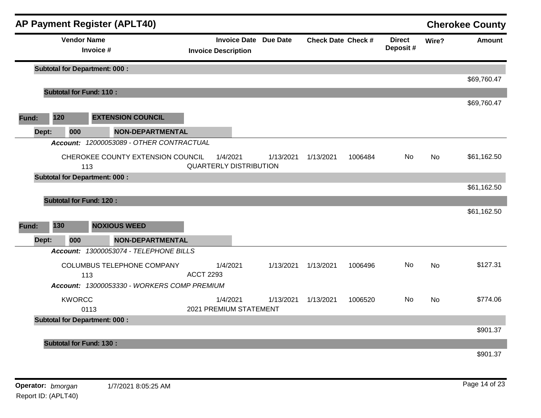|       |                                      |                                 | <b>AP Payment Register (APLT40)</b>         |                  |                                                            |           |                           |         |                           |           | <b>Cherokee County</b> |
|-------|--------------------------------------|---------------------------------|---------------------------------------------|------------------|------------------------------------------------------------|-----------|---------------------------|---------|---------------------------|-----------|------------------------|
|       |                                      | <b>Vendor Name</b><br>Invoice # |                                             |                  | <b>Invoice Date Due Date</b><br><b>Invoice Description</b> |           | <b>Check Date Check #</b> |         | <b>Direct</b><br>Deposit# | Wire?     | <b>Amount</b>          |
|       | <b>Subtotal for Department: 000:</b> |                                 |                                             |                  |                                                            |           |                           |         |                           |           |                        |
|       |                                      |                                 |                                             |                  |                                                            |           |                           |         |                           |           | \$69,760.47            |
|       | <b>Subtotal for Fund: 110:</b>       |                                 |                                             |                  |                                                            |           |                           |         |                           |           | \$69,760.47            |
| Fund: | 120                                  |                                 | <b>EXTENSION COUNCIL</b>                    |                  |                                                            |           |                           |         |                           |           |                        |
|       | 000<br>Dept:                         |                                 | <b>NON-DEPARTMENTAL</b>                     |                  |                                                            |           |                           |         |                           |           |                        |
|       |                                      |                                 | Account: 12000053089 - OTHER CONTRACTUAL    |                  |                                                            |           |                           |         |                           |           |                        |
|       |                                      | 113                             | CHEROKEE COUNTY EXTENSION COUNCIL           |                  | 1/4/2021<br><b>QUARTERLY DISTRIBUTION</b>                  | 1/13/2021 | 1/13/2021                 | 1006484 | No                        | <b>No</b> | \$61,162.50            |
|       | <b>Subtotal for Department: 000:</b> |                                 |                                             |                  |                                                            |           |                           |         |                           |           |                        |
|       | <b>Subtotal for Fund: 120:</b>       |                                 |                                             |                  |                                                            |           |                           |         |                           |           | \$61,162.50            |
|       |                                      |                                 |                                             |                  |                                                            |           |                           |         |                           |           | \$61,162.50            |
| Fund: | 130                                  |                                 | <b>NOXIOUS WEED</b>                         |                  |                                                            |           |                           |         |                           |           |                        |
|       | 000<br>Dept:                         |                                 | <b>NON-DEPARTMENTAL</b>                     |                  |                                                            |           |                           |         |                           |           |                        |
|       |                                      |                                 | Account: 13000053074 - TELEPHONE BILLS      |                  |                                                            |           |                           |         |                           |           |                        |
|       |                                      | 113                             | COLUMBUS TELEPHONE COMPANY                  | <b>ACCT 2293</b> | 1/4/2021                                                   | 1/13/2021 | 1/13/2021                 | 1006496 | No.                       | <b>No</b> | \$127.31               |
|       |                                      |                                 | Account: 13000053330 - WORKERS COMP PREMIUM |                  |                                                            |           |                           |         |                           |           |                        |
|       | <b>KWORCC</b>                        | 0113                            |                                             |                  | 1/4/2021<br>2021 PREMIUM STATEMENT                         | 1/13/2021 | 1/13/2021                 | 1006520 | No.                       | <b>No</b> | \$774.06               |
|       | <b>Subtotal for Department: 000:</b> |                                 |                                             |                  |                                                            |           |                           |         |                           |           | \$901.37               |
|       | <b>Subtotal for Fund: 130:</b>       |                                 |                                             |                  |                                                            |           |                           |         |                           |           |                        |
|       |                                      |                                 |                                             |                  |                                                            |           |                           |         |                           |           | \$901.37               |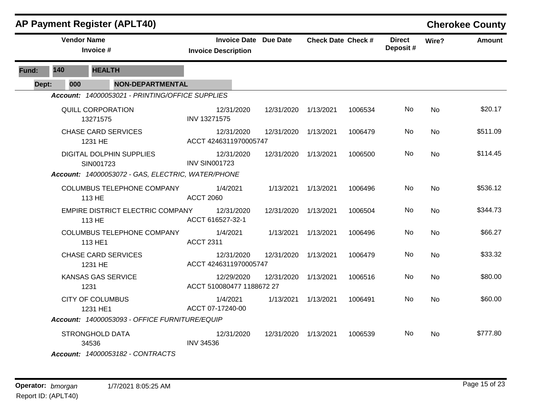|       |                    | <b>AP Payment Register (APLT40)</b>                                                                                    |                                                     |            |                           |         |                           |           | <b>Cherokee County</b> |
|-------|--------------------|------------------------------------------------------------------------------------------------------------------------|-----------------------------------------------------|------------|---------------------------|---------|---------------------------|-----------|------------------------|
|       | <b>Vendor Name</b> | Invoice #                                                                                                              | Invoice Date Due Date<br><b>Invoice Description</b> |            | <b>Check Date Check #</b> |         | <b>Direct</b><br>Deposit# | Wire?     | <b>Amount</b>          |
| Fund: | 140                | <b>HEALTH</b>                                                                                                          |                                                     |            |                           |         |                           |           |                        |
| Dept: | 000                | <b>NON-DEPARTMENTAL</b>                                                                                                |                                                     |            |                           |         |                           |           |                        |
|       |                    | Account: 14000053021 - PRINTING/OFFICE SUPPLIES                                                                        |                                                     |            |                           |         |                           |           |                        |
|       |                    | <b>QUILL CORPORATION</b><br>13271575                                                                                   | 12/31/2020<br>INV 13271575                          | 12/31/2020 | 1/13/2021                 | 1006534 | No.                       | <b>No</b> | \$20.17                |
|       |                    | <b>CHASE CARD SERVICES</b><br>1231 HE                                                                                  | 12/31/2020<br>ACCT 4246311970005747                 | 12/31/2020 | 1/13/2021                 | 1006479 | No                        | <b>No</b> | \$511.09               |
|       |                    | DIGITAL DOLPHIN SUPPLIES<br>SIN001723<br>Account: 14000053072 - GAS, ELECTRIC, WATER/PHONE                             | 12/31/2020<br><b>INV SIN001723</b>                  | 12/31/2020 | 1/13/2021                 | 1006500 | No.                       | <b>No</b> | \$114.45               |
|       |                    |                                                                                                                        |                                                     |            |                           |         |                           |           |                        |
|       |                    | COLUMBUS TELEPHONE COMPANY<br>113 HE                                                                                   | 1/4/2021<br><b>ACCT 2060</b>                        |            | 1/13/2021 1/13/2021       | 1006496 | No.                       | No        | \$536.12               |
|       |                    | EMPIRE DISTRICT ELECTRIC COMPANY<br>113 HE                                                                             | 12/31/2020<br>ACCT 616527-32-1                      | 12/31/2020 | 1/13/2021                 | 1006504 | No.                       | No        | \$344.73               |
|       |                    | <b>COLUMBUS TELEPHONE COMPANY</b><br>113 HE1                                                                           | 1/4/2021<br><b>ACCT 2311</b>                        |            | 1/13/2021 1/13/2021       | 1006496 | No.                       | No        | \$66.27                |
|       |                    | <b>CHASE CARD SERVICES</b><br>1231 HE                                                                                  | 12/31/2020<br>ACCT 4246311970005747                 | 12/31/2020 | 1/13/2021                 | 1006479 | No.                       | <b>No</b> | \$33.32                |
|       |                    | <b>KANSAS GAS SERVICE</b><br>1231                                                                                      | 12/29/2020<br>ACCT 510080477 1188672 27             | 12/31/2020 | 1/13/2021                 | 1006516 | No.                       | No        | \$80.00                |
|       |                    | <b>CITY OF COLUMBUS</b><br>1231 HE1                                                                                    | 1/4/2021<br>ACCT 07-17240-00                        |            | 1/13/2021 1/13/2021       | 1006491 | No.                       | No        | \$60.00                |
|       |                    | Account: 14000053093 - OFFICE FURNITURE/EQUIP                                                                          |                                                     |            |                           |         |                           |           |                        |
|       |                    | STRONGHOLD DATA<br>34536                                                                                               | 12/31/2020<br><b>INV 34536</b>                      | 12/31/2020 | 1/13/2021                 | 1006539 | No.                       | <b>No</b> | \$777.80               |
|       |                    | $\Lambda_{222}$ $\ldots$ $\Lambda_{40000}$ $\Omega_{400}$ $\Omega_{400}$ $\Omega_{400}$ $\Omega_{400}$ $\Lambda_{400}$ |                                                     |            |                           |         |                           |           |                        |

*Account: 14000053182 - CONTRACTS*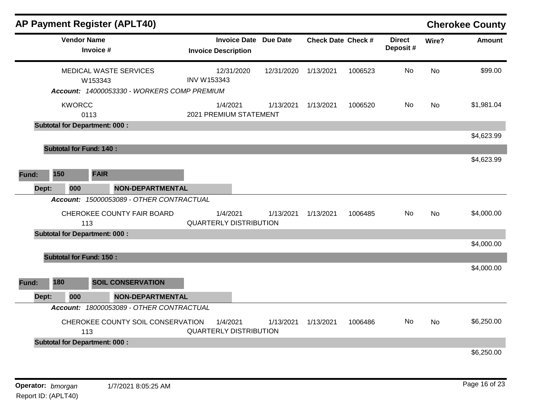|       |       |                    | <b>AP Payment Register (APLT40)</b>         |                                           |                              |                           |         |                           |           | <b>Cherokee County</b> |
|-------|-------|--------------------|---------------------------------------------|-------------------------------------------|------------------------------|---------------------------|---------|---------------------------|-----------|------------------------|
|       |       | <b>Vendor Name</b> | Invoice #                                   | <b>Invoice Description</b>                | <b>Invoice Date Due Date</b> | <b>Check Date Check #</b> |         | <b>Direct</b><br>Deposit# | Wire?     | <b>Amount</b>          |
|       |       |                    | <b>MEDICAL WASTE SERVICES</b><br>W153343    | 12/31/2020<br><b>INV W153343</b>          | 12/31/2020                   | 1/13/2021                 | 1006523 | No                        | <b>No</b> | \$99.00                |
|       |       |                    | Account: 14000053330 - WORKERS COMP PREMIUM |                                           |                              |                           |         |                           |           |                        |
|       |       | <b>KWORCC</b>      | 0113                                        | 1/4/2021<br>2021 PREMIUM STATEMENT        | 1/13/2021                    | 1/13/2021                 | 1006520 | No                        | <b>No</b> | \$1,981.04             |
|       |       |                    | <b>Subtotal for Department: 000:</b>        |                                           |                              |                           |         |                           |           |                        |
|       |       |                    |                                             |                                           |                              |                           |         |                           |           | \$4,623.99             |
|       |       |                    | <b>Subtotal for Fund: 140:</b>              |                                           |                              |                           |         |                           |           |                        |
|       |       |                    |                                             |                                           |                              |                           |         |                           |           | \$4,623.99             |
| Fund: | 150   |                    | <b>FAIR</b>                                 |                                           |                              |                           |         |                           |           |                        |
|       | Dept: | 000                | <b>NON-DEPARTMENTAL</b>                     |                                           |                              |                           |         |                           |           |                        |
|       |       |                    | Account: 15000053089 - OTHER CONTRACTUAL    |                                           |                              |                           |         |                           |           |                        |
|       |       |                    | CHEROKEE COUNTY FAIR BOARD<br>113           | 1/4/2021<br><b>QUARTERLY DISTRIBUTION</b> | 1/13/2021                    | 1/13/2021                 | 1006485 | No.                       | No        | \$4,000.00             |
|       |       |                    | <b>Subtotal for Department: 000:</b>        |                                           |                              |                           |         |                           |           |                        |
|       |       |                    |                                             |                                           |                              |                           |         |                           |           | \$4,000.00             |
|       |       |                    | <b>Subtotal for Fund: 150:</b>              |                                           |                              |                           |         |                           |           |                        |
|       |       |                    |                                             |                                           |                              |                           |         |                           |           | \$4,000.00             |
| Fund: | 180   |                    | <b>SOIL CONSERVATION</b>                    |                                           |                              |                           |         |                           |           |                        |
|       | Dept: | 000                | <b>NON-DEPARTMENTAL</b>                     |                                           |                              |                           |         |                           |           |                        |
|       |       |                    | Account: 18000053089 - OTHER CONTRACTUAL    |                                           |                              |                           |         |                           |           |                        |
|       |       |                    | CHEROKEE COUNTY SOIL CONSERVATION<br>113    | 1/4/2021<br><b>QUARTERLY DISTRIBUTION</b> | 1/13/2021                    | 1/13/2021                 | 1006486 | No                        | <b>No</b> | \$6,250.00             |
|       |       |                    | <b>Subtotal for Department: 000:</b>        |                                           |                              |                           |         |                           |           |                        |
|       |       |                    |                                             |                                           |                              |                           |         |                           |           | \$6,250.00             |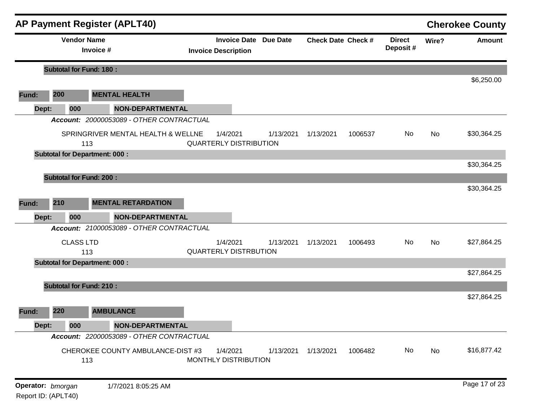|                   |     |                                      | <b>AP Payment Register (APLT40)</b>                                           |                                                            |           |                           |         |                           |       | <b>Cherokee County</b> |
|-------------------|-----|--------------------------------------|-------------------------------------------------------------------------------|------------------------------------------------------------|-----------|---------------------------|---------|---------------------------|-------|------------------------|
|                   |     | <b>Vendor Name</b><br>Invoice #      |                                                                               | <b>Invoice Date Due Date</b><br><b>Invoice Description</b> |           | <b>Check Date Check #</b> |         | <b>Direct</b><br>Deposit# | Wire? | <b>Amount</b>          |
|                   |     | <b>Subtotal for Fund: 180:</b>       |                                                                               |                                                            |           |                           |         |                           |       |                        |
| Fund:             | 200 |                                      | <b>MENTAL HEALTH</b>                                                          |                                                            |           |                           |         |                           |       | \$6,250.00             |
| Dept:             |     | 000                                  | <b>NON-DEPARTMENTAL</b>                                                       |                                                            |           |                           |         |                           |       |                        |
|                   |     |                                      | Account: 20000053089 - OTHER CONTRACTUAL                                      |                                                            |           |                           |         |                           |       |                        |
|                   |     | 113                                  | SPRINGRIVER MENTAL HEALTH & WELLNE                                            | 1/4/2021<br><b>QUARTERLY DISTRIBUTION</b>                  | 1/13/2021 | 1/13/2021                 | 1006537 | No                        | No    | \$30,364.25            |
|                   |     | <b>Subtotal for Department: 000:</b> |                                                                               |                                                            |           |                           |         |                           |       |                        |
|                   |     |                                      |                                                                               |                                                            |           |                           |         |                           |       | \$30,364.25            |
|                   |     | <b>Subtotal for Fund: 200:</b>       |                                                                               |                                                            |           |                           |         |                           |       | \$30,364.25            |
|                   |     |                                      |                                                                               |                                                            |           |                           |         |                           |       |                        |
| Fund:             | 210 |                                      | <b>MENTAL RETARDATION</b>                                                     |                                                            |           |                           |         |                           |       |                        |
| Dept:             |     | 000                                  | <b>NON-DEPARTMENTAL</b>                                                       |                                                            |           |                           |         |                           |       |                        |
|                   |     |                                      | Account: 21000053089 - OTHER CONTRACTUAL                                      |                                                            |           |                           |         |                           |       |                        |
|                   |     | <b>CLASS LTD</b>                     |                                                                               | 1/4/2021                                                   | 1/13/2021 | 1/13/2021                 | 1006493 | No                        | No    | \$27,864.25            |
|                   |     | 113                                  |                                                                               | <b>QUARTERLY DISTRBUTION</b>                               |           |                           |         |                           |       |                        |
|                   |     | <b>Subtotal for Department: 000:</b> |                                                                               |                                                            |           |                           |         |                           |       | \$27,864.25            |
|                   |     |                                      |                                                                               |                                                            |           |                           |         |                           |       |                        |
|                   |     | <b>Subtotal for Fund: 210:</b>       |                                                                               |                                                            |           |                           |         |                           |       | \$27,864.25            |
|                   |     |                                      |                                                                               |                                                            |           |                           |         |                           |       |                        |
| Fund:             | 220 |                                      | <b>AMBULANCE</b>                                                              |                                                            |           |                           |         |                           |       |                        |
| Dept:             |     | 000                                  | <b>NON-DEPARTMENTAL</b>                                                       |                                                            |           |                           |         |                           |       |                        |
|                   |     | 113                                  | Account: 22000053089 - OTHER CONTRACTUAL<br>CHEROKEE COUNTY AMBULANCE-DIST #3 | 1/4/2021<br>MONTHLY DISTRIBUTION                           | 1/13/2021 | 1/13/2021                 | 1006482 | No                        | No    | \$16,877.42            |
| Operator: bmorgan |     |                                      | 1/7/2021 8:05:25 AM                                                           |                                                            |           |                           |         |                           |       | Page 17 of 23          |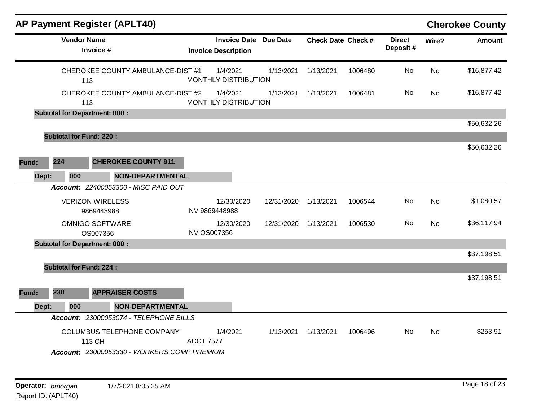| <b>AP Payment Register (APLT40)</b>  |            |                                                                                                                                                                                                                                                            |                                                                              |         |                           |           | <b>Cherokee County</b> |
|--------------------------------------|------------|------------------------------------------------------------------------------------------------------------------------------------------------------------------------------------------------------------------------------------------------------------|------------------------------------------------------------------------------|---------|---------------------------|-----------|------------------------|
|                                      |            |                                                                                                                                                                                                                                                            |                                                                              |         | <b>Direct</b><br>Deposit# | Wire?     | <b>Amount</b>          |
|                                      | 1/4/2021   | 1/13/2021                                                                                                                                                                                                                                                  | 1/13/2021                                                                    | 1006480 | No                        | <b>No</b> | \$16,877.42            |
|                                      | 1/4/2021   | 1/13/2021                                                                                                                                                                                                                                                  | 1/13/2021                                                                    | 1006481 | No.                       | No        | \$16,877.42            |
|                                      |            |                                                                                                                                                                                                                                                            |                                                                              |         |                           |           |                        |
|                                      |            |                                                                                                                                                                                                                                                            |                                                                              |         |                           |           | \$50,632.26            |
|                                      |            |                                                                                                                                                                                                                                                            |                                                                              |         |                           |           |                        |
|                                      |            |                                                                                                                                                                                                                                                            |                                                                              |         |                           |           | \$50,632.26            |
| <b>CHEROKEE COUNTY 911</b>           |            |                                                                                                                                                                                                                                                            |                                                                              |         |                           |           |                        |
| <b>NON-DEPARTMENTAL</b>              |            |                                                                                                                                                                                                                                                            |                                                                              |         |                           |           |                        |
| Account: 22400053300 - MISC PAID OUT |            |                                                                                                                                                                                                                                                            |                                                                              |         |                           |           |                        |
|                                      | 12/30/2020 | 12/31/2020                                                                                                                                                                                                                                                 | 1/13/2021                                                                    | 1006544 | No                        | <b>No</b> | \$1,080.57             |
|                                      | 12/30/2020 | 12/31/2020                                                                                                                                                                                                                                                 | 1/13/2021                                                                    | 1006530 | No                        | No        | \$36,117.94            |
|                                      |            |                                                                                                                                                                                                                                                            |                                                                              |         |                           |           |                        |
|                                      |            |                                                                                                                                                                                                                                                            |                                                                              |         |                           |           | \$37,198.51            |
|                                      |            |                                                                                                                                                                                                                                                            |                                                                              |         |                           |           |                        |
|                                      |            |                                                                                                                                                                                                                                                            |                                                                              |         |                           |           | \$37,198.51            |
| <b>APPRAISER COSTS</b>               |            |                                                                                                                                                                                                                                                            |                                                                              |         |                           |           |                        |
| <b>NON-DEPARTMENTAL</b>              |            |                                                                                                                                                                                                                                                            |                                                                              |         |                           |           |                        |
|                                      |            |                                                                                                                                                                                                                                                            |                                                                              |         |                           |           |                        |
| COLUMBUS TELEPHONE COMPANY           | 1/4/2021   | 1/13/2021                                                                                                                                                                                                                                                  | 1/13/2021                                                                    | 1006496 | No.                       | No        | \$253.91               |
|                                      |            | <b>Invoice Description</b><br>CHEROKEE COUNTY AMBULANCE-DIST #1<br>CHEROKEE COUNTY AMBULANCE-DIST #2<br>INV 9869448988<br><b>INV OS007356</b><br>Account: 23000053074 - TELEPHONE BILLS<br><b>ACCT 7577</b><br>Account: 23000053330 - WORKERS COMP PREMIUM | <b>Invoice Date Due Date</b><br>MONTHLY DISTRIBUTION<br>MONTHLY DISTRIBUTION |         | <b>Check Date Check #</b> |           |                        |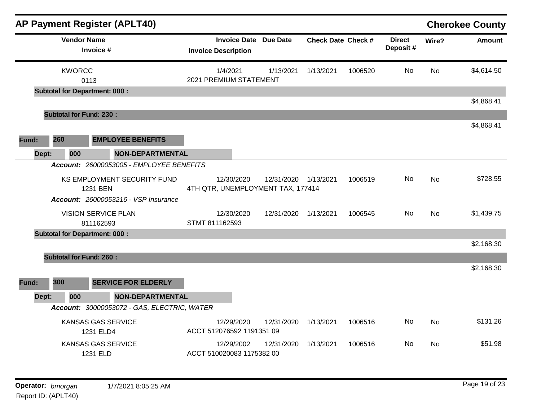|                                 |                                                                                                                                                                                                                                                                                                                                                                                                                         |                                                                                                |                                                                                             |                                                                                                                  |                                                           |                           |                | <b>Cherokee County</b> |
|---------------------------------|-------------------------------------------------------------------------------------------------------------------------------------------------------------------------------------------------------------------------------------------------------------------------------------------------------------------------------------------------------------------------------------------------------------------------|------------------------------------------------------------------------------------------------|---------------------------------------------------------------------------------------------|------------------------------------------------------------------------------------------------------------------|-----------------------------------------------------------|---------------------------|----------------|------------------------|
| <b>Vendor Name</b><br>Invoice # |                                                                                                                                                                                                                                                                                                                                                                                                                         |                                                                                                |                                                                                             |                                                                                                                  |                                                           | <b>Direct</b><br>Deposit# | Wire?          | Amount                 |
| <b>KWORCC</b><br>0113           |                                                                                                                                                                                                                                                                                                                                                                                                                         | 1/4/2021                                                                                       | 1/13/2021                                                                                   | 1/13/2021                                                                                                        | 1006520                                                   | No                        | <b>No</b>      | \$4,614.50             |
|                                 |                                                                                                                                                                                                                                                                                                                                                                                                                         |                                                                                                |                                                                                             |                                                                                                                  |                                                           |                           |                | \$4,868.41             |
|                                 |                                                                                                                                                                                                                                                                                                                                                                                                                         |                                                                                                |                                                                                             |                                                                                                                  |                                                           |                           |                |                        |
| 260                             |                                                                                                                                                                                                                                                                                                                                                                                                                         |                                                                                                |                                                                                             |                                                                                                                  |                                                           |                           |                | \$4,868.41             |
| 000<br>Dept:                    |                                                                                                                                                                                                                                                                                                                                                                                                                         |                                                                                                |                                                                                             |                                                                                                                  |                                                           |                           |                |                        |
|                                 |                                                                                                                                                                                                                                                                                                                                                                                                                         |                                                                                                |                                                                                             |                                                                                                                  |                                                           |                           |                |                        |
| 1231 BEN                        |                                                                                                                                                                                                                                                                                                                                                                                                                         | 12/30/2020                                                                                     |                                                                                             |                                                                                                                  | 1006519                                                   | No.                       | N <sub>o</sub> | \$728.55               |
|                                 |                                                                                                                                                                                                                                                                                                                                                                                                                         |                                                                                                |                                                                                             |                                                                                                                  |                                                           |                           |                |                        |
| 811162593                       |                                                                                                                                                                                                                                                                                                                                                                                                                         | 12/30/2020                                                                                     | 12/31/2020                                                                                  | 1/13/2021                                                                                                        | 1006545                                                   | No.                       | <b>No</b>      | \$1,439.75             |
|                                 |                                                                                                                                                                                                                                                                                                                                                                                                                         |                                                                                                |                                                                                             |                                                                                                                  |                                                           |                           |                |                        |
|                                 |                                                                                                                                                                                                                                                                                                                                                                                                                         |                                                                                                |                                                                                             |                                                                                                                  |                                                           |                           |                | \$2,168.30             |
|                                 |                                                                                                                                                                                                                                                                                                                                                                                                                         |                                                                                                |                                                                                             |                                                                                                                  |                                                           |                           |                | \$2,168.30             |
| 300                             |                                                                                                                                                                                                                                                                                                                                                                                                                         |                                                                                                |                                                                                             |                                                                                                                  |                                                           |                           |                |                        |
| 000<br>Dept:                    |                                                                                                                                                                                                                                                                                                                                                                                                                         |                                                                                                |                                                                                             |                                                                                                                  |                                                           |                           |                |                        |
|                                 |                                                                                                                                                                                                                                                                                                                                                                                                                         |                                                                                                |                                                                                             |                                                                                                                  |                                                           |                           |                |                        |
| 1231 ELD4                       |                                                                                                                                                                                                                                                                                                                                                                                                                         | 12/29/2020                                                                                     | 12/31/2020                                                                                  | 1/13/2021                                                                                                        | 1006516                                                   | No.                       | No             | \$131.26               |
| 1231 ELD                        |                                                                                                                                                                                                                                                                                                                                                                                                                         | 12/29/2002                                                                                     | 12/31/2020                                                                                  | 1/13/2021                                                                                                        | 1006516                                                   | No.                       | No             | \$51.98                |
|                                 | <b>AP Payment Register (APLT40)</b><br><b>Subtotal for Department: 000:</b><br><b>Subtotal for Fund: 230:</b><br><b>EMPLOYEE BENEFITS</b><br>KS EMPLOYMENT SECURITY FUND<br><b>Account: 26000053216 - VSP Insurance</b><br><b>VISION SERVICE PLAN</b><br><b>Subtotal for Department: 000:</b><br><b>Subtotal for Fund: 260:</b><br><b>SERVICE FOR ELDERLY</b><br><b>KANSAS GAS SERVICE</b><br><b>KANSAS GAS SERVICE</b> | <b>NON-DEPARTMENTAL</b><br>Account: 26000053005 - EMPLOYEE BENEFITS<br><b>NON-DEPARTMENTAL</b> | <b>Invoice Description</b><br>STMT 811162593<br>Account: 30000053072 - GAS, ELECTRIC, WATER | <b>Invoice Date Due Date</b><br>2021 PREMIUM STATEMENT<br>ACCT 512076592 1191351 09<br>ACCT 510020083 1175382 00 | 12/31/2020 1/13/2021<br>4TH QTR, UNEMPLOYMENT TAX, 177414 | <b>Check Date Check #</b> |                |                        |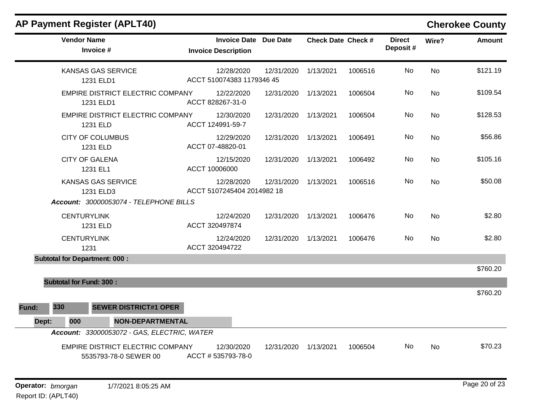| <b>Vendor Name</b><br>Invoice #                                  | <b>Invoice Date Due Date</b><br><b>Invoice Description</b> |                      | <b>Check Date Check #</b> |         | <b>Direct</b><br>Deposit# | Wire?     | <b>Amount</b> |
|------------------------------------------------------------------|------------------------------------------------------------|----------------------|---------------------------|---------|---------------------------|-----------|---------------|
| <b>KANSAS GAS SERVICE</b><br>1231 ELD1                           | 12/28/2020<br>ACCT 510074383 1179346 45                    | 12/31/2020           | 1/13/2021                 | 1006516 | No                        | <b>No</b> | \$121.19      |
| EMPIRE DISTRICT ELECTRIC COMPANY<br>1231 ELD1                    | 12/22/2020<br>ACCT 828267-31-0                             | 12/31/2020           | 1/13/2021                 | 1006504 | No                        | No        | \$109.54      |
| EMPIRE DISTRICT ELECTRIC COMPANY<br>1231 ELD                     | 12/30/2020<br>ACCT 124991-59-7                             | 12/31/2020           | 1/13/2021                 | 1006504 | No                        | <b>No</b> | \$128.53      |
| <b>CITY OF COLUMBUS</b><br>1231 ELD                              | 12/29/2020<br>ACCT 07-48820-01                             | 12/31/2020           | 1/13/2021                 | 1006491 | No                        | <b>No</b> | \$56.86       |
| <b>CITY OF GALENA</b><br>1231 EL1                                | 12/15/2020<br>ACCT 10006000                                | 12/31/2020           | 1/13/2021                 | 1006492 | No                        | <b>No</b> | \$105.16      |
| <b>KANSAS GAS SERVICE</b><br>1231 ELD3                           | 12/28/2020<br>ACCT 5107245404 2014982 18                   | 12/31/2020           | 1/13/2021                 | 1006516 | No                        | <b>No</b> | \$50.08       |
| Account: 30000053074 - TELEPHONE BILLS                           |                                                            |                      |                           |         |                           |           |               |
| <b>CENTURYLINK</b><br>1231 ELD                                   | 12/24/2020<br>ACCT 320497874                               | 12/31/2020           | 1/13/2021                 | 1006476 | No                        | No        | \$2.80        |
| <b>CENTURYLINK</b><br>1231                                       | 12/24/2020<br>ACCT 320494722                               | 12/31/2020 1/13/2021 |                           | 1006476 | No                        | <b>No</b> | \$2.80        |
| <b>Subtotal for Department: 000:</b>                             |                                                            |                      |                           |         |                           |           |               |
|                                                                  |                                                            |                      |                           |         |                           |           | \$760.20      |
| <b>Subtotal for Fund: 300:</b>                                   |                                                            |                      |                           |         |                           |           |               |
|                                                                  |                                                            |                      |                           |         |                           |           | \$760.20      |
| 330<br><b>SEWER DISTRICT#1 OPER</b><br>Fund:                     |                                                            |                      |                           |         |                           |           |               |
| <b>NON-DEPARTMENTAL</b><br>000<br>Dept:                          |                                                            |                      |                           |         |                           |           |               |
| Account: 33000053072 - GAS, ELECTRIC, WATER                      |                                                            |                      |                           |         |                           |           |               |
| <b>EMPIRE DISTRICT ELECTRIC COMPANY</b><br>5535793-78-0 SEWER 00 | 12/30/2020<br>ACCT #535793-78-0                            | 12/31/2020           | 1/13/2021                 | 1006504 | No.                       | No        | \$70.23       |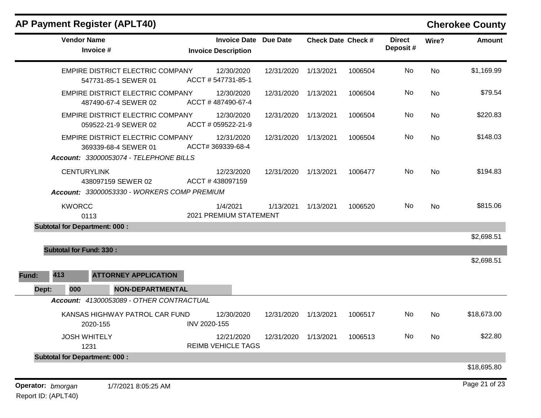| <b>Vendor Name</b><br>Invoice #                                                                    | <b>Invoice Date Due Date</b><br><b>Invoice Description</b> |                              | <b>Check Date Check #</b> |         | <b>Direct</b><br>Deposit# | Wire?     | Amount        |
|----------------------------------------------------------------------------------------------------|------------------------------------------------------------|------------------------------|---------------------------|---------|---------------------------|-----------|---------------|
| EMPIRE DISTRICT ELECTRIC COMPANY<br>547731-85-1 SEWER 01                                           | 12/30/2020<br>ACCT #547731-85-1                            | 12/31/2020                   | 1/13/2021                 | 1006504 | No                        | No        | \$1,169.99    |
| EMPIRE DISTRICT ELECTRIC COMPANY<br>487490-67-4 SEWER 02                                           | 12/30/2020<br>ACCT #487490-67-4                            | 12/31/2020                   | 1/13/2021                 | 1006504 | No                        | No        | \$79.54       |
| <b>EMPIRE DISTRICT ELECTRIC COMPANY</b><br>059522-21-9 SEWER 02                                    | 12/30/2020<br>ACCT # 059522-21-9                           | 12/31/2020                   | 1/13/2021                 | 1006504 | No                        | No        | \$220.83      |
| EMPIRE DISTRICT ELECTRIC COMPANY<br>369339-68-4 SEWER 01<br>Account: 33000053074 - TELEPHONE BILLS | 12/31/2020<br>ACCT# 369339-68-4                            | 12/31/2020                   | 1/13/2021                 | 1006504 | No                        | <b>No</b> | \$148.03      |
| <b>CENTURYLINK</b><br>438097159 SEWER 02<br>Account: 33000053330 - WORKERS COMP PREMIUM            | 12/23/2020<br>ACCT #438097159                              | 12/31/2020                   | 1/13/2021                 | 1006477 | No                        | No        | \$194.83      |
| <b>KWORCC</b><br>0113                                                                              | 1/4/2021<br>2021 PREMIUM STATEMENT                         | 1/13/2021                    | 1/13/2021                 | 1006520 | No.                       | No        | \$815.06      |
| <b>Subtotal for Department: 000:</b>                                                               |                                                            |                              |                           |         |                           |           |               |
|                                                                                                    |                                                            |                              |                           |         |                           |           | \$2,698.51    |
| <b>Subtotal for Fund: 330:</b><br>413<br><b>ATTORNEY APPLICATION</b><br>Fund:                      |                                                            |                              |                           |         |                           |           | \$2,698.51    |
| <b>NON-DEPARTMENTAL</b><br>Dept:<br>000                                                            |                                                            |                              |                           |         |                           |           |               |
| Account: 41300053089 - OTHER CONTRACTUAL                                                           |                                                            |                              |                           |         |                           |           |               |
| KANSAS HIGHWAY PATROL CAR FUND<br>2020-155                                                         | 12/30/2020<br>INV 2020-155                                 | 12/31/2020                   | 1/13/2021                 | 1006517 | No                        | No        | \$18,673.00   |
| <b>JOSH WHITELY</b><br>1231                                                                        | 12/21/2020<br><b>REIMB VEHICLE TAGS</b>                    | 12/31/2020 1/13/2021 1006513 |                           |         | No                        | No        | \$22.80       |
| <b>Subtotal for Department: 000:</b>                                                               |                                                            |                              |                           |         |                           |           |               |
|                                                                                                    |                                                            |                              |                           |         |                           |           | \$18,695.80   |
| Operator: bmorgan<br>1/7/2021 8:05:25 AM                                                           |                                                            |                              |                           |         |                           |           | Page 21 of 23 |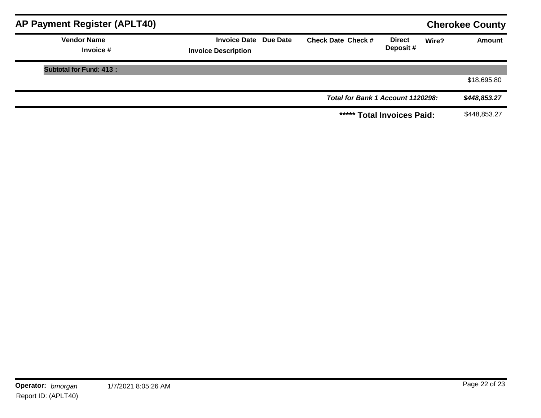| AP Payment Register (APLT40)    |                                                            |                                   |                           |       | <b>Cherokee County</b> |
|---------------------------------|------------------------------------------------------------|-----------------------------------|---------------------------|-------|------------------------|
| <b>Vendor Name</b><br>Invoice # | <b>Invoice Date Due Date</b><br><b>Invoice Description</b> | <b>Check Date Check #</b>         | <b>Direct</b><br>Deposit# | Wire? | <b>Amount</b>          |
| <b>Subtotal for Fund: 413:</b>  |                                                            |                                   |                           |       |                        |
|                                 |                                                            |                                   |                           |       | \$18,695.80            |
|                                 |                                                            | Total for Bank 1 Account 1120298: |                           |       | \$448,853.27           |
|                                 |                                                            | ***** Total Invoices Paid:        |                           |       | \$448,853.27           |